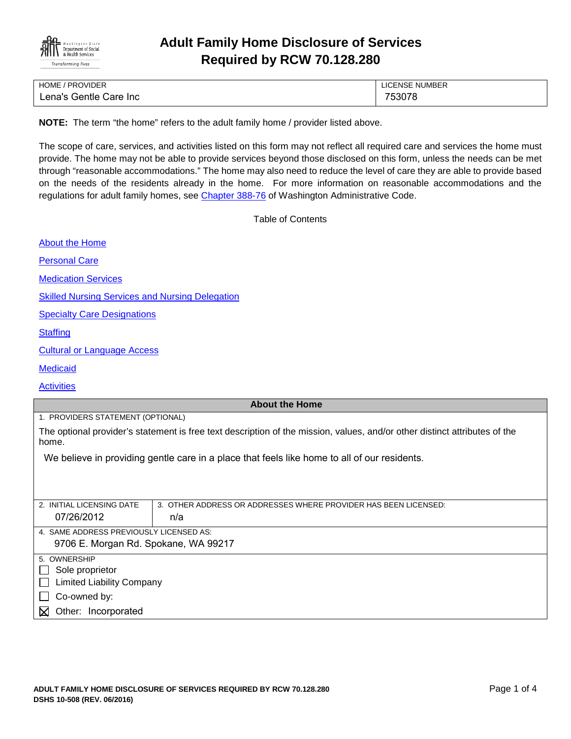

# **Adult Family Home Disclosure of Services Required by RCW 70.128.280**

| <b>HOME / PROVIDER</b> | <b>LICENSE NUMBER</b> |
|------------------------|-----------------------|
| Lena's Gentle Care Inc | 753078                |

**NOTE:** The term "the home" refers to the adult family home / provider listed above.

The scope of care, services, and activities listed on this form may not reflect all required care and services the home must provide. The home may not be able to provide services beyond those disclosed on this form, unless the needs can be met through "reasonable accommodations." The home may also need to reduce the level of care they are able to provide based on the needs of the residents already in the home. For more information on reasonable accommodations and the regulations for adult family homes, see [Chapter 388-76](http://apps.leg.wa.gov/WAC/default.aspx?cite=388-76) of Washington Administrative Code.

Table of Contents

[About the Home](#page-0-0)

[Personal Care](#page-1-0)

[Medication Services](#page-1-1)

[Skilled Nursing Services and Nursing Delegation](#page-2-0)

[Specialty Care Designations](#page-2-1)

**[Staffing](#page-2-2)** 

[Cultural or Language Access](#page-2-3)

**[Medicaid](#page-3-0)** 

**[Activities](#page-3-1)** 

#### <span id="page-0-0"></span>**About the Home**

1. PROVIDERS STATEMENT (OPTIONAL)

The optional provider's statement is free text description of the mission, values, and/or other distinct attributes of the home.

We believe in providing gentle care in a place that feels like home to all of our residents.

| 2. INITIAL LICENSING DATE                        | 3. OTHER ADDRESS OR ADDRESSES WHERE PROVIDER HAS BEEN LICENSED: |  |
|--------------------------------------------------|-----------------------------------------------------------------|--|
| 07/26/2012                                       | n/a                                                             |  |
|                                                  |                                                                 |  |
| 4. SAME ADDRESS PREVIOUSLY LICENSED AS:          |                                                                 |  |
| 9706 E. Morgan Rd. Spokane, WA 99217             |                                                                 |  |
|                                                  |                                                                 |  |
| 5. OWNERSHIP                                     |                                                                 |  |
| Sole proprietor<br>$\mathbf{L}$                  |                                                                 |  |
| <b>Limited Liability Company</b><br>$\mathbf{L}$ |                                                                 |  |
| Co-owned by:                                     |                                                                 |  |
| Other: Incorporated<br>M                         |                                                                 |  |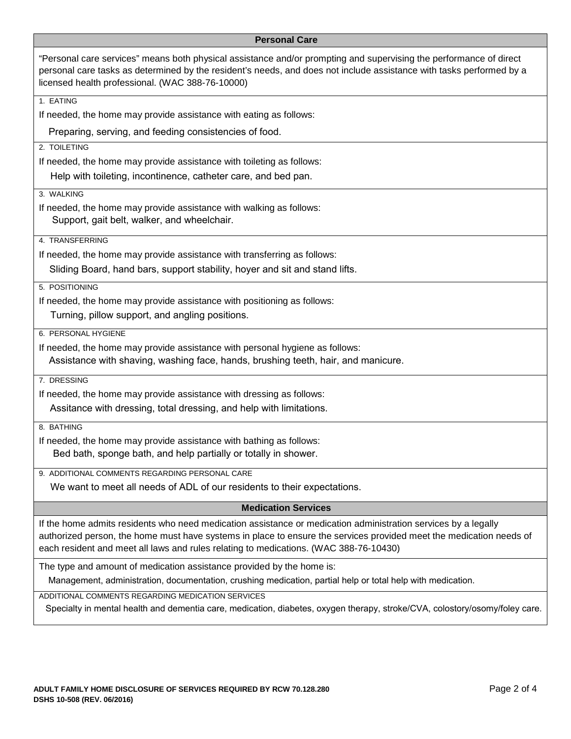### <span id="page-1-1"></span><span id="page-1-0"></span>**Personal Care**

| "Personal care services" means both physical assistance and/or prompting and supervising the performance of direct<br>personal care tasks as determined by the resident's needs, and does not include assistance with tasks performed by a<br>licensed health professional. (WAC 388-76-10000) |  |
|------------------------------------------------------------------------------------------------------------------------------------------------------------------------------------------------------------------------------------------------------------------------------------------------|--|
| 1. EATING                                                                                                                                                                                                                                                                                      |  |
| If needed, the home may provide assistance with eating as follows:                                                                                                                                                                                                                             |  |
| Preparing, serving, and feeding consistencies of food.                                                                                                                                                                                                                                         |  |
| 2. TOILETING                                                                                                                                                                                                                                                                                   |  |
| If needed, the home may provide assistance with toileting as follows:                                                                                                                                                                                                                          |  |
| Help with toileting, incontinence, catheter care, and bed pan.                                                                                                                                                                                                                                 |  |
| 3. WALKING                                                                                                                                                                                                                                                                                     |  |
| If needed, the home may provide assistance with walking as follows:<br>Support, gait belt, walker, and wheelchair.                                                                                                                                                                             |  |
| 4. TRANSFERRING                                                                                                                                                                                                                                                                                |  |
| If needed, the home may provide assistance with transferring as follows:                                                                                                                                                                                                                       |  |
| Sliding Board, hand bars, support stability, hoyer and sit and stand lifts.                                                                                                                                                                                                                    |  |
| 5. POSITIONING                                                                                                                                                                                                                                                                                 |  |
| If needed, the home may provide assistance with positioning as follows:                                                                                                                                                                                                                        |  |
| Turning, pillow support, and angling positions.                                                                                                                                                                                                                                                |  |
| 6. PERSONAL HYGIENE                                                                                                                                                                                                                                                                            |  |
| If needed, the home may provide assistance with personal hygiene as follows:                                                                                                                                                                                                                   |  |
| Assistance with shaving, washing face, hands, brushing teeth, hair, and manicure.                                                                                                                                                                                                              |  |
| 7. DRESSING                                                                                                                                                                                                                                                                                    |  |
| If needed, the home may provide assistance with dressing as follows:                                                                                                                                                                                                                           |  |
| Assitance with dressing, total dressing, and help with limitations.                                                                                                                                                                                                                            |  |
| 8. BATHING                                                                                                                                                                                                                                                                                     |  |
| If needed, the home may provide assistance with bathing as follows:                                                                                                                                                                                                                            |  |
| Bed bath, sponge bath, and help partially or totally in shower.                                                                                                                                                                                                                                |  |
| 9. ADDITIONAL COMMENTS REGARDING PERSONAL CARE                                                                                                                                                                                                                                                 |  |
| We want to meet all needs of ADL of our residents to their expectations.                                                                                                                                                                                                                       |  |
| <b>Medication Services</b>                                                                                                                                                                                                                                                                     |  |
| If the home admits residents who need medication assistance or medication administration services by a legally                                                                                                                                                                                 |  |
| authorized person, the home must have systems in place to ensure the services provided meet the medication needs of                                                                                                                                                                            |  |
| each resident and meet all laws and rules relating to medications. (WAC 388-76-10430)                                                                                                                                                                                                          |  |
| The type and amount of medication assistance provided by the home is:                                                                                                                                                                                                                          |  |
| Management, administration, documentation, crushing medication, partial help or total help with medication.                                                                                                                                                                                    |  |
| ADDITIONAL COMMENTS REGARDING MEDICATION SERVICES                                                                                                                                                                                                                                              |  |
| Specialty in mental health and dementia care, medication, diabetes, oxygen therapy, stroke/CVA, colostory/osomy/foley care.                                                                                                                                                                    |  |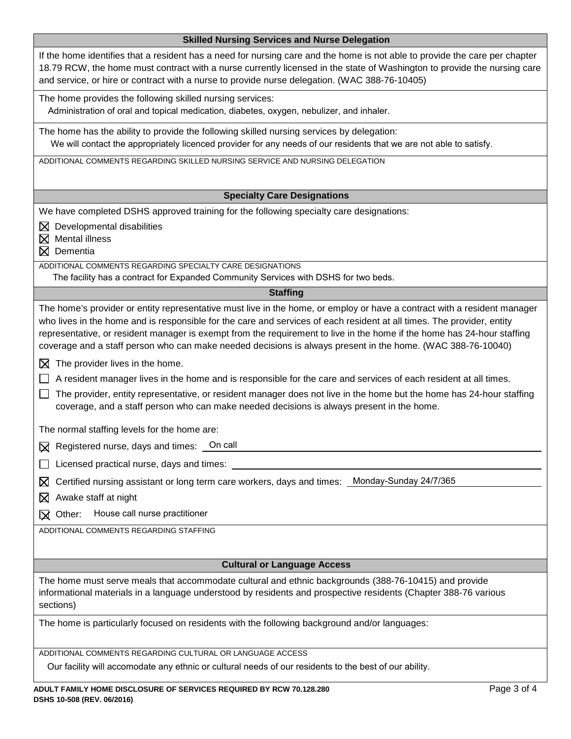<span id="page-2-3"></span><span id="page-2-2"></span><span id="page-2-1"></span><span id="page-2-0"></span>

| <b>Skilled Nursing Services and Nurse Delegation</b>                                                                                                                                                                                                                                                                                                                                                                                                                                                                                        |  |
|---------------------------------------------------------------------------------------------------------------------------------------------------------------------------------------------------------------------------------------------------------------------------------------------------------------------------------------------------------------------------------------------------------------------------------------------------------------------------------------------------------------------------------------------|--|
| If the home identifies that a resident has a need for nursing care and the home is not able to provide the care per chapter<br>18.79 RCW, the home must contract with a nurse currently licensed in the state of Washington to provide the nursing care<br>and service, or hire or contract with a nurse to provide nurse delegation. (WAC 388-76-10405)                                                                                                                                                                                    |  |
| The home provides the following skilled nursing services:<br>Administration of oral and topical medication, diabetes, oxygen, nebulizer, and inhaler.                                                                                                                                                                                                                                                                                                                                                                                       |  |
| The home has the ability to provide the following skilled nursing services by delegation:<br>We will contact the appropriately licenced provider for any needs of our residents that we are not able to satisfy.                                                                                                                                                                                                                                                                                                                            |  |
| ADDITIONAL COMMENTS REGARDING SKILLED NURSING SERVICE AND NURSING DELEGATION                                                                                                                                                                                                                                                                                                                                                                                                                                                                |  |
| <b>Specialty Care Designations</b>                                                                                                                                                                                                                                                                                                                                                                                                                                                                                                          |  |
| We have completed DSHS approved training for the following specialty care designations:                                                                                                                                                                                                                                                                                                                                                                                                                                                     |  |
| $\boxtimes$ Developmental disabilities<br>Mental illness<br>$\boxtimes$<br>$\boxtimes$ Dementia                                                                                                                                                                                                                                                                                                                                                                                                                                             |  |
| ADDITIONAL COMMENTS REGARDING SPECIALTY CARE DESIGNATIONS<br>The facility has a contract for Expanded Community Services with DSHS for two beds.                                                                                                                                                                                                                                                                                                                                                                                            |  |
| <b>Staffing</b>                                                                                                                                                                                                                                                                                                                                                                                                                                                                                                                             |  |
| The home's provider or entity representative must live in the home, or employ or have a contract with a resident manager<br>who lives in the home and is responsible for the care and services of each resident at all times. The provider, entity<br>representative, or resident manager is exempt from the requirement to live in the home if the home has 24-hour staffing<br>coverage and a staff person who can make needed decisions is always present in the home. (WAC 388-76-10040)<br>$\boxtimes$ The provider lives in the home. |  |
| A resident manager lives in the home and is responsible for the care and services of each resident at all times.                                                                                                                                                                                                                                                                                                                                                                                                                            |  |
| The provider, entity representative, or resident manager does not live in the home but the home has 24-hour staffing<br>coverage, and a staff person who can make needed decisions is always present in the home.                                                                                                                                                                                                                                                                                                                           |  |
| The normal staffing levels for the home are:                                                                                                                                                                                                                                                                                                                                                                                                                                                                                                |  |
| $\boxtimes$ Registered nurse, days and times: $\Box$ On call                                                                                                                                                                                                                                                                                                                                                                                                                                                                                |  |
| Licensed practical nurse, days and times:                                                                                                                                                                                                                                                                                                                                                                                                                                                                                                   |  |
| Monday-Sunday 24/7/365<br>Certified nursing assistant or long term care workers, days and times:<br>⊠                                                                                                                                                                                                                                                                                                                                                                                                                                       |  |
| Awake staff at night<br>⊠                                                                                                                                                                                                                                                                                                                                                                                                                                                                                                                   |  |
| House call nurse practitioner<br>Other:<br>⋈                                                                                                                                                                                                                                                                                                                                                                                                                                                                                                |  |
| ADDITIONAL COMMENTS REGARDING STAFFING                                                                                                                                                                                                                                                                                                                                                                                                                                                                                                      |  |
|                                                                                                                                                                                                                                                                                                                                                                                                                                                                                                                                             |  |
| <b>Cultural or Language Access</b>                                                                                                                                                                                                                                                                                                                                                                                                                                                                                                          |  |
| The home must serve meals that accommodate cultural and ethnic backgrounds (388-76-10415) and provide                                                                                                                                                                                                                                                                                                                                                                                                                                       |  |
| informational materials in a language understood by residents and prospective residents (Chapter 388-76 various<br>sections)                                                                                                                                                                                                                                                                                                                                                                                                                |  |
| The home is particularly focused on residents with the following background and/or languages:                                                                                                                                                                                                                                                                                                                                                                                                                                               |  |
| ADDITIONAL COMMENTS REGARDING CULTURAL OR LANGUAGE ACCESS                                                                                                                                                                                                                                                                                                                                                                                                                                                                                   |  |
| Our facility will accomodate any ethnic or cultural needs of our residents to the best of our ability.                                                                                                                                                                                                                                                                                                                                                                                                                                      |  |